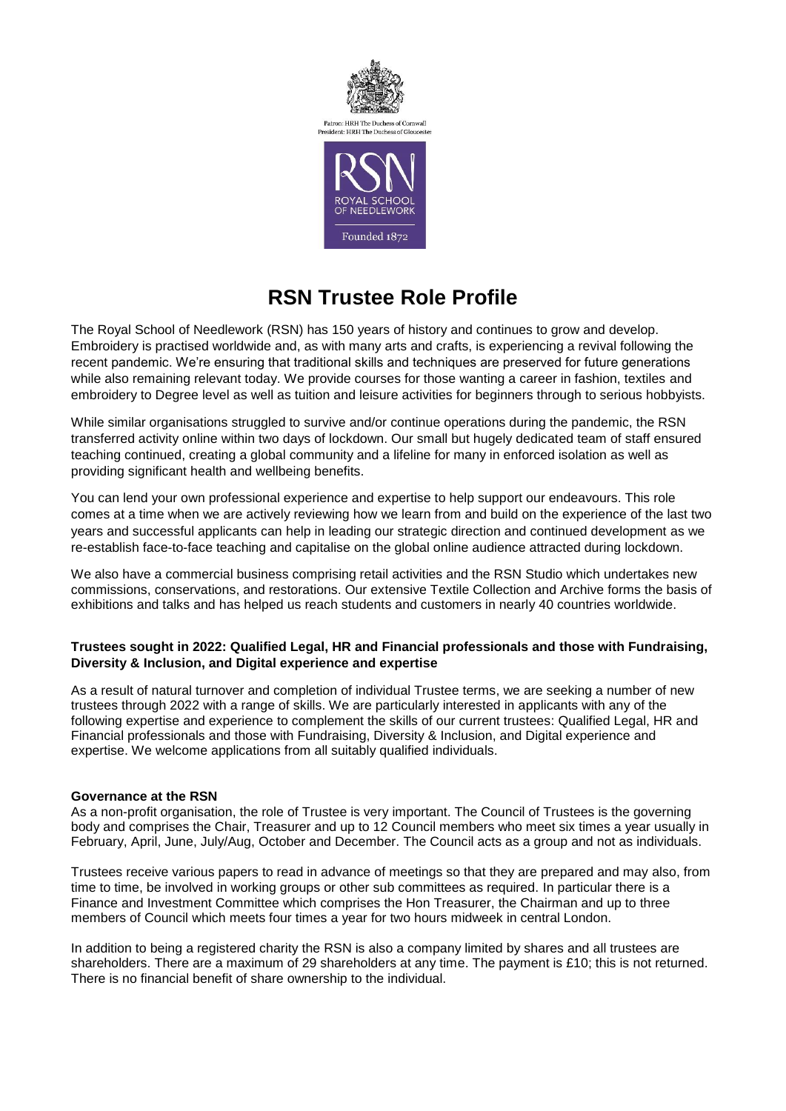

# **RSN Trustee Role Profile**

The Royal School of Needlework (RSN) has 150 years of history and continues to grow and develop. Embroidery is practised worldwide and, as with many arts and crafts, is experiencing a revival following the recent pandemic. We're ensuring that traditional skills and techniques are preserved for future generations while also remaining relevant today. We provide courses for those wanting a career in fashion, textiles and embroidery to Degree level as well as tuition and leisure activities for beginners through to serious hobbyists.

While similar organisations struggled to survive and/or continue operations during the pandemic, the RSN transferred activity online within two days of lockdown. Our small but hugely dedicated team of staff ensured teaching continued, creating a global community and a lifeline for many in enforced isolation as well as providing significant health and wellbeing benefits.

You can lend your own professional experience and expertise to help support our endeavours. This role comes at a time when we are actively reviewing how we learn from and build on the experience of the last two years and successful applicants can help in leading our strategic direction and continued development as we re-establish face-to-face teaching and capitalise on the global online audience attracted during lockdown.

We also have a commercial business comprising retail activities and the RSN Studio which undertakes new commissions, conservations, and restorations. Our extensive Textile Collection and Archive forms the basis of exhibitions and talks and has helped us reach students and customers in nearly 40 countries worldwide.

## **Trustees sought in 2022: Qualified Legal, HR and Financial professionals and those with Fundraising, Diversity & Inclusion, and Digital experience and expertise**

As a result of natural turnover and completion of individual Trustee terms, we are seeking a number of new trustees through 2022 with a range of skills. We are particularly interested in applicants with any of the following expertise and experience to complement the skills of our current trustees: Qualified Legal, HR and Financial professionals and those with Fundraising, Diversity & Inclusion, and Digital experience and expertise. We welcome applications from all suitably qualified individuals.

### **Governance at the RSN**

As a non-profit organisation, the role of Trustee is very important. The Council of Trustees is the governing body and comprises the Chair, Treasurer and up to 12 Council members who meet six times a year usually in February, April, June, July/Aug, October and December. The Council acts as a group and not as individuals.

Trustees receive various papers to read in advance of meetings so that they are prepared and may also, from time to time, be involved in working groups or other sub committees as required. In particular there is a Finance and Investment Committee which comprises the Hon Treasurer, the Chairman and up to three members of Council which meets four times a year for two hours midweek in central London.

In addition to being a registered charity the RSN is also a company limited by shares and all trustees are shareholders. There are a maximum of 29 shareholders at any time. The payment is £10; this is not returned. There is no financial benefit of share ownership to the individual.